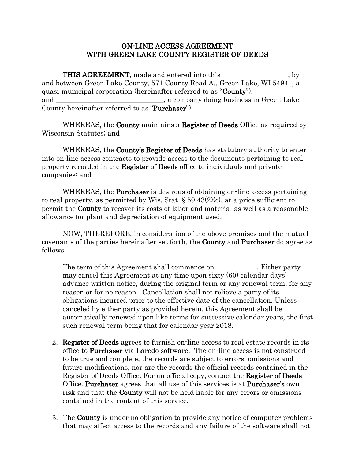#### ON-LINE ACCESS AGREEMENT WITH GREEN LAKE COUNTY REGISTER OF DEEDS

THIS AGREEMENT, made and entered into this , by and between Green Lake County, 571 County Road A., Green Lake, WI 54941, a quasi-municipal corporation (hereinafter referred to as "County"), and 2.1 and 2.1 and 2.1 and 2.1 and 2.1 and 2.1 and 2.1 and 2.1 and 2.1 and 2.1 and 2.1 and 2.1 and 2.1 and 2.1 and 2.1 and 2.1 and 2.1 and 2.1 and 2.1 and 2.1 and 2.1 and 2.1 and 2.1 and 2.1 and 2.1 and 2.1 and 2.1 and 2. County hereinafter referred to as "Purchaser").

WHEREAS, the **County** maintains a **Register of Deeds** Office as required by Wisconsin Statutes; and

WHEREAS, the **County's Register of Deeds** has statutory authority to enter into on-line access contracts to provide access to the documents pertaining to real property recorded in the Register of Deeds office to individuals and private companies; and

WHEREAS, the **Purchaser** is desirous of obtaining on-line access pertaining to real property, as permitted by Wis. Stat.  $\S 59.43(2)(c)$ , at a price sufficient to permit the County to recover its costs of labor and material as well as a reasonable allowance for plant and depreciation of equipment used.

NOW, THEREFORE, in consideration of the above premises and the mutual covenants of the parties hereinafter set forth, the County and Purchaser do agree as follows:

- 1. The term of this Agreement shall commence on . Either party may cancel this Agreement at any time upon sixty (60) calendar days' advance written notice, during the original term or any renewal term, for any reason or for no reason. Cancellation shall not relieve a party of its obligations incurred prior to the effective date of the cancellation. Unless canceled by either party as provided herein, this Agreement shall be automatically renewed upon like terms for successive calendar years, the first such renewal term being that for calendar year 2018.
- 2. **Register of Deeds** agrees to furnish on-line access to real estate records in its office to Purchaser via Laredo software. The on-line access is not construed to be true and complete, the records are subject to errors, omissions and future modifications, nor are the records the official records contained in the Register of Deeds Office. For an official copy, contact the Register of Deeds Office. Purchaser agrees that all use of this services is at Purchaser's own risk and that the **County** will not be held liable for any errors or omissions contained in the content of this service.
- 3. The County is under no obligation to provide any notice of computer problems that may affect access to the records and any failure of the software shall not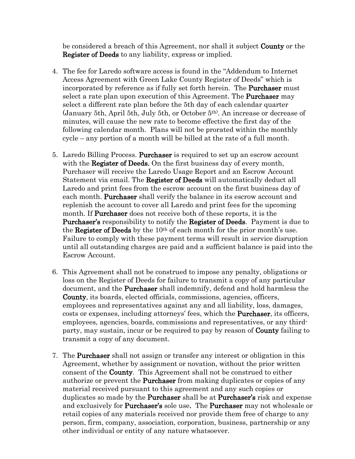be considered a breach of this Agreement, nor shall it subject **County** or the Register of Deeds to any liability, express or implied.

- 4. The fee for Laredo software access is found in the "Addendum to Internet Access Agreement with Green Lake County Register of Deeds" which is incorporated by reference as if fully set forth herein. The Purchaser must select a rate plan upon execution of this Agreement. The **Purchaser** may select a different rate plan before the 5th day of each calendar quarter (January 5th, April 5th, July 5th, or October 5th) . An increase or decrease of minutes, will cause the new rate to become effective the first day of the following calendar month. Plans will not be prorated within the monthly cycle – any portion of a month will be billed at the rate of a full month.
- 5. Laredo Billing Process. Purchaser is required to set up an escrow account with the **Register of Deeds.** On the first business day of every month, Purchaser will receive the Laredo Usage Report and an Escrow Account Statement via email. The **Register of Deeds** will automatically deduct all Laredo and print fees from the escrow account on the first business day of each month. **Purchaser** shall verify the balance in its escrow account and replenish the account to cover all Laredo and print fees for the upcoming month. If **Purchaser** does not receive both of these reports, it is the Purchaser's responsibility to notify the Register of Deeds. Payment is due to the **Register of Deeds** by the 10<sup>th</sup> of each month for the prior month's use. Failure to comply with these payment terms will result in service disruption until all outstanding charges are paid and a sufficient balance is paid into the Escrow Account.
- 6. This Agreement shall not be construed to impose any penalty, obligations or loss on the Register of Deeds for failure to transmit a copy of any particular document, and the **Purchaser** shall indemnify, defend and hold harmless the County, its boards, elected officials, commissions, agencies, officers, employees and representatives against any and all liability, loss, damages, costs or expenses, including attorneys' fees, which the Purchaser, its officers, employees, agencies, boards, commissions and representatives, or any thirdparty, may sustain, incur or be required to pay by reason of County failing to transmit a copy of any document.
- 7. The Purchaser shall not assign or transfer any interest or obligation in this Agreement, whether by assignment or novation, without the prior written consent of the County. This Agreement shall not be construed to either authorize or prevent the **Purchaser** from making duplicates or copies of any material received pursuant to this agreement and any such copies or duplicates so made by the **Purchaser** shall be at **Purchaser's** risk and expense and exclusively for **Purchaser's** sole use. The **Purchaser** may not wholesale or retail copies of any materials received nor provide them free of charge to any person, firm, company, association, corporation, business, partnership or any other individual or entity of any nature whatsoever.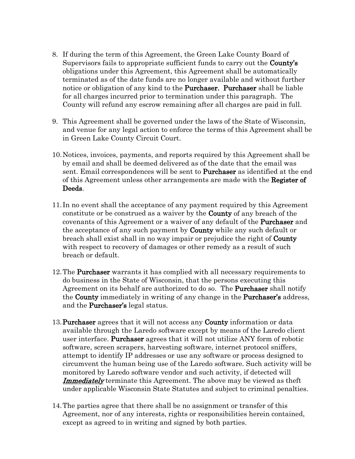- 8. If during the term of this Agreement, the Green Lake County Board of Supervisors fails to appropriate sufficient funds to carry out the **County's** obligations under this Agreement, this Agreement shall be automatically terminated as of the date funds are no longer available and without further notice or obligation of any kind to the Purchaser. Purchaser shall be liable for all charges incurred prior to termination under this paragraph. The County will refund any escrow remaining after all charges are paid in full.
- 9. This Agreement shall be governed under the laws of the State of Wisconsin, and venue for any legal action to enforce the terms of this Agreement shall be in Green Lake County Circuit Court.
- 10.Notices, invoices, payments, and reports required by this Agreement shall be by email and shall be deemed delivered as of the date that the email was sent. Email correspondences will be sent to **Purchaser** as identified at the end of this Agreement unless other arrangements are made with the Register of Deeds.
- 11. In no event shall the acceptance of any payment required by this Agreement constitute or be construed as a waiver by the County of any breach of the covenants of this Agreement or a waiver of any default of the Purchaser and the acceptance of any such payment by **County** while any such default or breach shall exist shall in no way impair or prejudice the right of **County** with respect to recovery of damages or other remedy as a result of such breach or default.
- 12.The Purchaser warrants it has complied with all necessary requirements to do business in the State of Wisconsin, that the persons executing this Agreement on its behalf are authorized to do so. The Purchaser shall notify the **County** immediately in writing of any change in the **Purchaser's** address, and the Purchaser's legal status.
- 13. Purchaser agrees that it will not access any County information or data available through the Laredo software except by means of the Laredo client user interface. Purchaser agrees that it will not utilize ANY form of robotic software, screen scrapers, harvesting software, internet protocol sniffers, attempt to identify IP addresses or use any software or process designed to circumvent the human being use of the Laredo software. Such activity will be monitored by Laredo software vendor and such activity, if detected will **Immediately** terminate this Agreement. The above may be viewed as the f under applicable Wisconsin State Statutes and subject to criminal penalties.
- 14.The parties agree that there shall be no assignment or transfer of this Agreement, nor of any interests, rights or responsibilities herein contained, except as agreed to in writing and signed by both parties.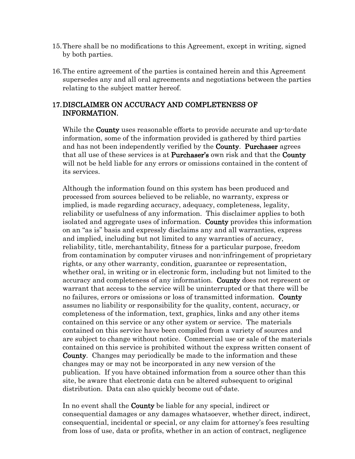- 15.There shall be no modifications to this Agreement, except in writing, signed by both parties.
- 16.The entire agreement of the parties is contained herein and this Agreement supersedes any and all oral agreements and negotiations between the parties relating to the subject matter hereof.

### 17.DISCLAIMER ON ACCURACY AND COMPLETENESS OF INFORMATION.

While the **County** uses reasonable efforts to provide accurate and up-to-date information, some of the information provided is gathered by third parties and has not been independently verified by the County. Purchaser agrees that all use of these services is at **Purchaser's** own risk and that the **County** will not be held liable for any errors or omissions contained in the content of its services.

Although the information found on this system has been produced and processed from sources believed to be reliable, no warranty, express or implied, is made regarding accuracy, adequacy, completeness, legality, reliability or usefulness of any information. This disclaimer applies to both isolated and aggregate uses of information. County provides this information on an "as is" basis and expressly disclaims any and all warranties, express and implied, including but not limited to any warranties of accuracy, reliability, title, merchantability, fitness for a particular purpose, freedom from contamination by computer viruses and non-infringement of proprietary rights, or any other warranty, condition, guarantee or representation, whether oral, in writing or in electronic form, including but not limited to the accuracy and completeness of any information. County does not represent or warrant that access to the service will be uninterrupted or that there will be no failures, errors or omissions or loss of transmitted information. County assumes no liability or responsibility for the quality, content, accuracy, or completeness of the information, text, graphics, links and any other items contained on this service or any other system or service. The materials contained on this service have been compiled from a variety of sources and are subject to change without notice. Commercial use or sale of the materials contained on this service is prohibited without the express written consent of County. Changes may periodically be made to the information and these changes may or may not be incorporated in any new version of the publication. If you have obtained information from a source other than this site, be aware that electronic data can be altered subsequent to original distribution. Data can also quickly become out of-date.

In no event shall the **County** be liable for any special, indirect or consequential damages or any damages whatsoever, whether direct, indirect, consequential, incidental or special, or any claim for attorney's fees resulting from loss of use, data or profits, whether in an action of contract, negligence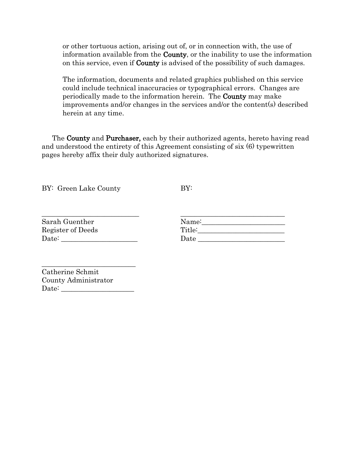or other tortuous action, arising out of, or in connection with, the use of information available from the County, or the inability to use the information on this service, even if County is advised of the possibility of such damages.

The information, documents and related graphics published on this service could include technical inaccuracies or typographical errors. Changes are periodically made to the information herein. The County may make improvements and/or changes in the services and/or the content(s) described herein at any time.

The **County** and **Purchaser**, each by their authorized agents, hereto having read and understood the entirety of this Agreement consisting of six (6) typewritten pages hereby affix their duly authorized signatures.

BY: Green Lake County

BY:

| Sarah Guenther    | Name:  |  |
|-------------------|--------|--|
| Register of Deeds | Title: |  |
| Date:             | Date   |  |

| Catherine Schmit     |
|----------------------|
| County Administrator |
| Date:                |